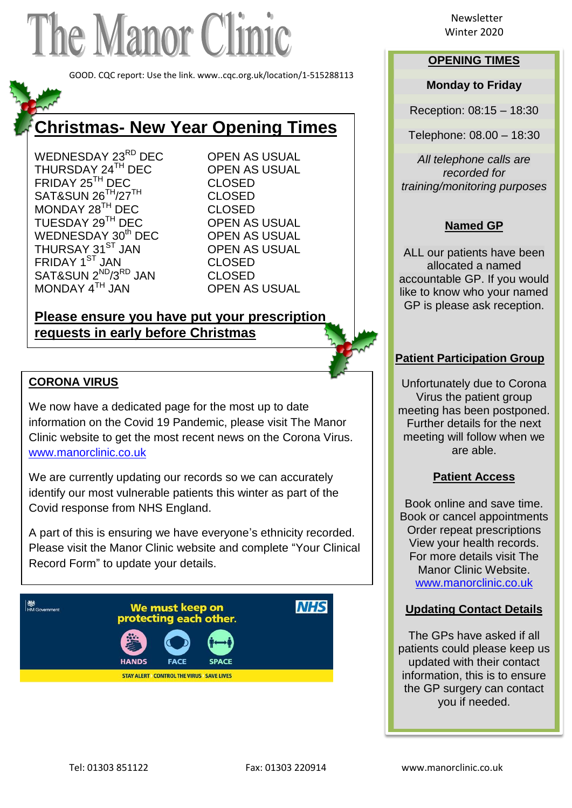# The Manor Clinic

GOOD. CQC report: Use the link. www..cqc.org.uk/location/1-515288113

## **Christmas- New Year Opening Times**

WEDNESDAY 23<sup>RD</sup> DEC OPEN AS USUAL THURSDAY 24<sup>TH</sup> DEC OPEN AS USUAL FRIDAY 25<sup>TH</sup> DEC CLOSED SAT&SUN 26<sup>TH</sup>/27<sup>TH</sup> CLOSED MONDAY 28<sup>TH</sup> DEC CLOSED TUESDAY 29<sup>TH</sup> DEC OPEN AS USUAL WEDNESDAY 30<sup>th</sup> DEC OPEN AS USUAL THURSAY 31<sup>ST</sup> JAN OPEN AS USUAL FRIDAY 1<sup>ST</sup> JAN CLOSED SAT&SUN 2<sup>ND</sup>/3<sup>RD</sup> JAN CLOSED MONDAY 4<sup>TH</sup> JAN OPEN AS USUAL

### **Please ensure you have put your prescription requests in early before Christmas**

#### **CORONA VIRUS**

We now have a dedicated page for the most up to date information on the Covid 19 Pandemic, please visit The Manor Clinic website to get the most recent news on the Corona Virus. [www.manorclinic.co.uk](http://www.manorclinic.co.uk/)

We are currently updating our records so we can accurately identify our most vulnerable patients this winter as part of the Covid response from NHS England.

A part of this is ensuring we have everyone's ethnicity recorded. Please visit the Manor Clinic website and complete "Your Clinical Record Form" to update your details.



Newsletter

#### **OPENING TIMES**

#### **Monday to Friday**

Reception: 08:15 – 18:30

Telephone: 08.00 – 18:30

*All telephone calls are recorded for training/monitoring purposes*

#### **Named GP**

ALL our patients have been allocated a named accountable GP. If you would like to know who your named GP is please ask reception.

#### **Patient Participation Group**

Unfortunately due to Corona Virus the patient group meeting has been postponed. Further details for the next meeting will follow when we are able.

#### **Patient Access**

Book online and save time. Book or cancel appointments Order repeat prescriptions View your health records. For more details visit The Manor Clinic Website. [www.manorclinic.co.uk](http://www.manorclinic.co.uk/)

#### **Updating Contact Details**

The GPs have asked if all patients could please keep us updated with their contact information, this is to ensure the GP surgery can contact you if needed.